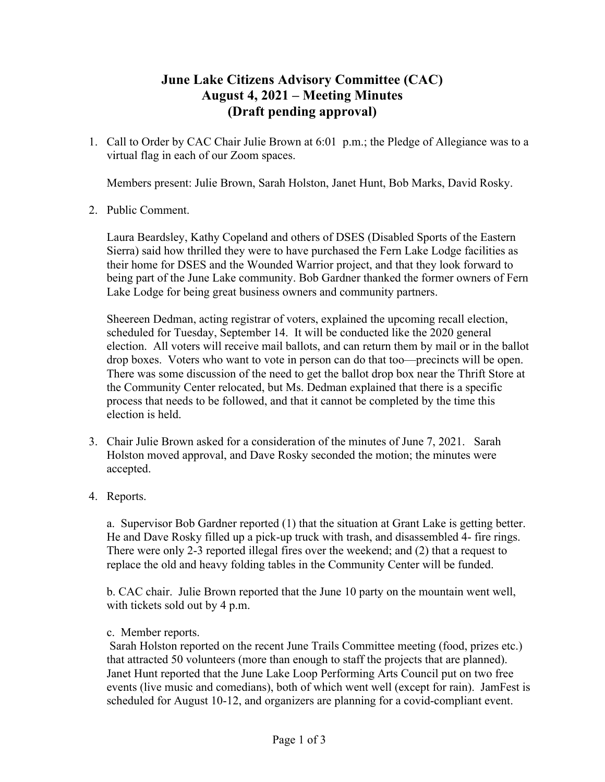## **June Lake Citizens Advisory Committee (CAC) August 4, 2021 – Meeting Minutes (Draft pending approval)**

1. Call to Order by CAC Chair Julie Brown at 6:01 p.m.; the Pledge of Allegiance was to a virtual flag in each of our Zoom spaces.

Members present: Julie Brown, Sarah Holston, Janet Hunt, Bob Marks, David Rosky.

2. Public Comment.

Laura Beardsley, Kathy Copeland and others of DSES (Disabled Sports of the Eastern Sierra) said how thrilled they were to have purchased the Fern Lake Lodge facilities as their home for DSES and the Wounded Warrior project, and that they look forward to being part of the June Lake community. Bob Gardner thanked the former owners of Fern Lake Lodge for being great business owners and community partners.

Sheereen Dedman, acting registrar of voters, explained the upcoming recall election, scheduled for Tuesday, September 14. It will be conducted like the 2020 general election. All voters will receive mail ballots, and can return them by mail or in the ballot drop boxes. Voters who want to vote in person can do that too—precincts will be open. There was some discussion of the need to get the ballot drop box near the Thrift Store at the Community Center relocated, but Ms. Dedman explained that there is a specific process that needs to be followed, and that it cannot be completed by the time this election is held.

- 3. Chair Julie Brown asked for a consideration of the minutes of June 7, 2021. Sarah Holston moved approval, and Dave Rosky seconded the motion; the minutes were accepted.
- 4. Reports.

a. Supervisor Bob Gardner reported (1) that the situation at Grant Lake is getting better. He and Dave Rosky filled up a pick-up truck with trash, and disassembled 4- fire rings. There were only 2-3 reported illegal fires over the weekend; and (2) that a request to replace the old and heavy folding tables in the Community Center will be funded.

b. CAC chair. Julie Brown reported that the June 10 party on the mountain went well, with tickets sold out by 4 p.m.

c. Member reports.

Sarah Holston reported on the recent June Trails Committee meeting (food, prizes etc.) that attracted 50 volunteers (more than enough to staff the projects that are planned). Janet Hunt reported that the June Lake Loop Performing Arts Council put on two free events (live music and comedians), both of which went well (except for rain). JamFest is scheduled for August 10-12, and organizers are planning for a covid-compliant event.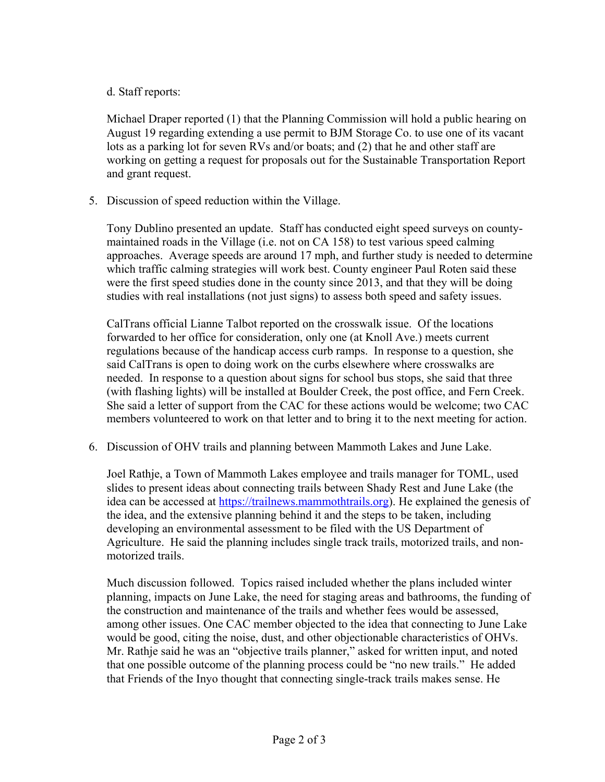## d. Staff reports:

Michael Draper reported (1) that the Planning Commission will hold a public hearing on August 19 regarding extending a use permit to BJM Storage Co. to use one of its vacant lots as a parking lot for seven RVs and/or boats; and (2) that he and other staff are working on getting a request for proposals out for the Sustainable Transportation Report and grant request.

5. Discussion of speed reduction within the Village.

Tony Dublino presented an update. Staff has conducted eight speed surveys on countymaintained roads in the Village (i.e. not on CA 158) to test various speed calming approaches. Average speeds are around 17 mph, and further study is needed to determine which traffic calming strategies will work best. County engineer Paul Roten said these were the first speed studies done in the county since 2013, and that they will be doing studies with real installations (not just signs) to assess both speed and safety issues.

CalTrans official Lianne Talbot reported on the crosswalk issue. Of the locations forwarded to her office for consideration, only one (at Knoll Ave.) meets current regulations because of the handicap access curb ramps. In response to a question, she said CalTrans is open to doing work on the curbs elsewhere where crosswalks are needed. In response to a question about signs for school bus stops, she said that three (with flashing lights) will be installed at Boulder Creek, the post office, and Fern Creek. She said a letter of support from the CAC for these actions would be welcome; two CAC members volunteered to work on that letter and to bring it to the next meeting for action.

6. Discussion of OHV trails and planning between Mammoth Lakes and June Lake.

Joel Rathje, a Town of Mammoth Lakes employee and trails manager for TOML, used slides to present ideas about connecting trails between Shady Rest and June Lake (the idea can be accessed at https://trailnews.mammothtrails.org). He explained the genesis of the idea, and the extensive planning behind it and the steps to be taken, including developing an environmental assessment to be filed with the US Department of Agriculture. He said the planning includes single track trails, motorized trails, and nonmotorized trails.

Much discussion followed. Topics raised included whether the plans included winter planning, impacts on June Lake, the need for staging areas and bathrooms, the funding of the construction and maintenance of the trails and whether fees would be assessed, among other issues. One CAC member objected to the idea that connecting to June Lake would be good, citing the noise, dust, and other objectionable characteristics of OHVs. Mr. Rathje said he was an "objective trails planner," asked for written input, and noted that one possible outcome of the planning process could be "no new trails." He added that Friends of the Inyo thought that connecting single-track trails makes sense. He